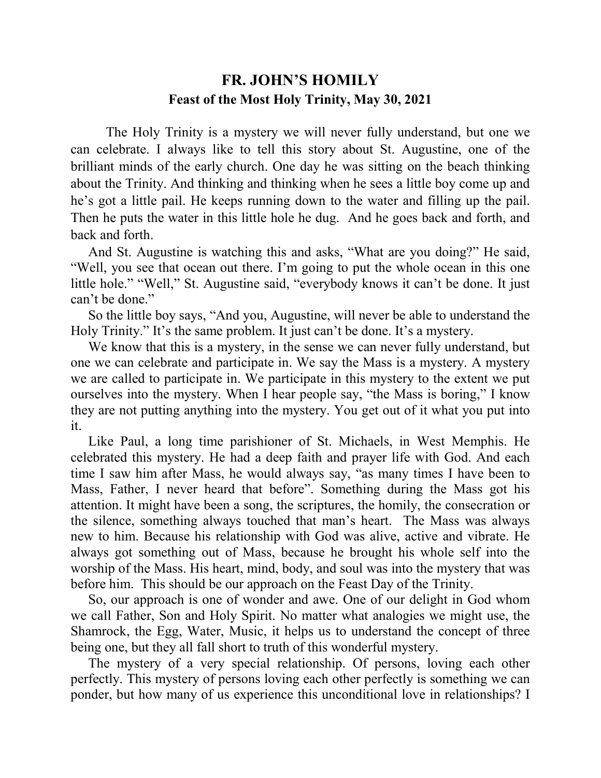## **FR. JOHN'S HOMILY Feast of the Most Holy Trinity, May 30, 2021**

 The Holy Trinity is a mystery we will never fully understand, but one we can celebrate. I always like to tell this story about St. Augustine, one of the brilliant minds of the early church. One day he was sitting on the beach thinking about the Trinity. And thinking and thinking when he sees a little boy come up and he's got a little pail. He keeps running down to the water and filling up the pail. Then he puts the water in this little hole he dug. And he goes back and forth, and back and forth.

 And St. Augustine is watching this and asks, "What are you doing?" He said, "Well, you see that ocean out there. I'm going to put the whole ocean in this one little hole." "Well," St. Augustine said, "everybody knows it can't be done. It just can't be done."

 So the little boy says, "And you, Augustine, will never be able to understand the Holy Trinity." It's the same problem. It just can't be done. It's a mystery.

 We know that this is a mystery, in the sense we can never fully understand, but one we can celebrate and participate in. We say the Mass is a mystery. A mystery we are called to participate in. We participate in this mystery to the extent we put ourselves into the mystery. When I hear people say, "the Mass is boring," I know they are not putting anything into the mystery. You get out of it what you put into it.

 Like Paul, a long time parishioner of St. Michaels, in West Memphis. He celebrated this mystery. He had a deep faith and prayer life with God. And each time I saw him after Mass, he would always say, "as many times I have been to Mass, Father, I never heard that before". Something during the Mass got his attention. It might have been a song, the scriptures, the homily, the consecration or the silence, something always touched that man's heart. The Mass was always new to him. Because his relationship with God was alive, active and vibrate. He always got something out of Mass, because he brought his whole self into the worship of the Mass. His heart, mind, body, and soul was into the mystery that was before him. This should be our approach on the Feast Day of the Trinity.

 So, our approach is one of wonder and awe. One of our delight in God whom we call Father, Son and Holy Spirit. No matter what analogies we might use, the Shamrock, the Egg, Water, Music, it helps us to understand the concept of three being one, but they all fall short to truth of this wonderful mystery.

 The mystery of a very special relationship. Of persons, loving each other perfectly. This mystery of persons loving each other perfectly is something we can ponder, but how many of us experience this unconditional love in relationships? I